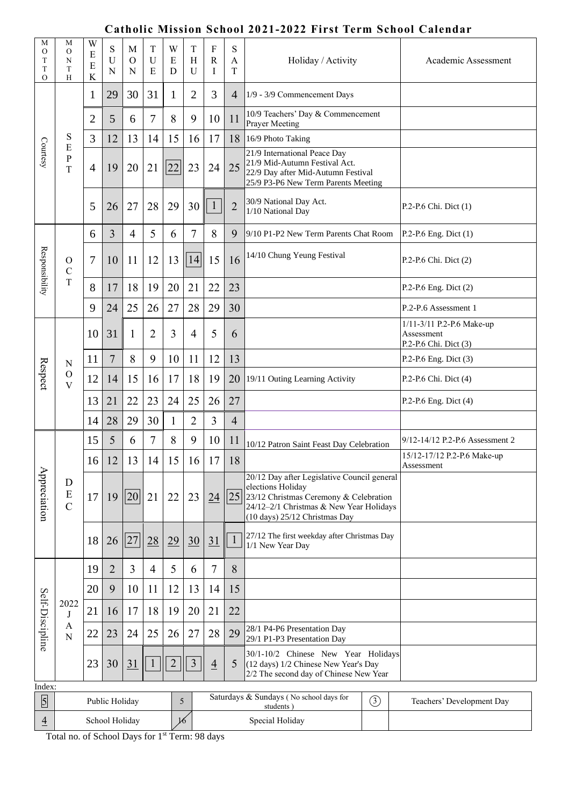## **Catholic Mission School 2021-2022 First Term School Calendar**

|                                         |                                   |                  |                |                    |                                 |             |                              |                             |                        | Catholic Mission School 2021-2022 First Term School Calendar                                                                                                                           |                       |                                                                  |
|-----------------------------------------|-----------------------------------|------------------|----------------|--------------------|---------------------------------|-------------|------------------------------|-----------------------------|------------------------|----------------------------------------------------------------------------------------------------------------------------------------------------------------------------------------|-----------------------|------------------------------------------------------------------|
| М<br>$\circ$<br>T<br>T<br>$\mathcal{O}$ | М<br>$\mathcal{O}$<br>N<br>T<br>H | W<br>E<br>Ε<br>K | S<br>U<br>N    | M<br>$\Omega$<br>N | $\mathbf T$<br>$\mathbf U$<br>E | W<br>E<br>D | $\mathbf T$<br>H<br>U        | $\rm F$<br>$\mathbf R$<br>I | S<br>$\mathbf{A}$<br>T | Holiday / Activity                                                                                                                                                                     |                       | Academic Assessment                                              |
| Courtesy                                |                                   | 1                | 29             | 30                 | 31                              | 1           | 2                            | 3                           | $\overline{4}$         | 1/9 - 3/9 Commencement Days                                                                                                                                                            |                       |                                                                  |
|                                         |                                   | $\overline{2}$   | 5              | 6                  | 7                               | 8           | 9                            | 10                          | 11                     | 10/9 Teachers' Day & Commencement<br><b>Prayer Meeting</b>                                                                                                                             |                       |                                                                  |
|                                         | S<br>E<br>P<br>T                  | 3                | 12             | 13                 | 14                              | 15          | 16                           | 17                          | 18                     | 16/9 Photo Taking                                                                                                                                                                      |                       |                                                                  |
|                                         |                                   | 4                | 19             | 20                 | 21                              | 22          | 23                           | 24                          | 25                     | 21/9 International Peace Day<br>21/9 Mid-Autumn Festival Act.<br>22/9 Day after Mid-Autumn Festival<br>25/9 P3-P6 New Term Parents Meeting                                             |                       |                                                                  |
|                                         |                                   | 5                | 26             | 27                 | 28                              | 29          | 30                           |                             | $\overline{2}$         | 30/9 National Day Act.<br>1/10 National Day                                                                                                                                            |                       | P.2-P.6 Chi. Dict (1)                                            |
|                                         |                                   | 6                | 3              | $\overline{4}$     | 5                               | 6           | $\overline{7}$               | 8                           | 9                      | 9/10 P1-P2 New Term Parents Chat Room                                                                                                                                                  |                       | P.2-P.6 Eng. Dict (1)                                            |
| Responsibility                          | O<br>C<br>T                       | 7                | 10             | 11                 | 12                              | 13          | 14                           | 15                          | 16                     | 14/10 Chung Yeung Festival                                                                                                                                                             |                       | P.2-P.6 Chi. Dict (2)                                            |
|                                         |                                   | 8                | 17             | 18                 | 19                              | 20          | 21                           | 22                          | 23                     |                                                                                                                                                                                        |                       | P.2-P.6 Eng. Dict (2)                                            |
|                                         |                                   | 9                | 24             | 25                 | 26                              | 27          | 28                           | 29                          | 30                     |                                                                                                                                                                                        |                       | P.2-P.6 Assessment 1                                             |
|                                         | N<br>$\mathbf O$<br>$\mathbf{V}$  | 10               | 31             | 1                  | $\overline{2}$                  | 3           | $\overline{4}$               | 5                           | 6                      |                                                                                                                                                                                        |                       | 1/11-3/11 P.2-P.6 Make-up<br>Assessment<br>P.2-P.6 Chi. Dict (3) |
|                                         |                                   | 11               | 7              | 8                  | 9                               | 10          | 11                           | 12                          | 13                     |                                                                                                                                                                                        | P.2-P.6 Eng. Dict (3) |                                                                  |
| Respect                                 |                                   | 12               | 14             | 15                 | 16                              | 17          | 18                           | 19                          | 20                     | 19/11 Outing Learning Activity                                                                                                                                                         |                       | P.2-P.6 Chi. Dict (4)                                            |
|                                         |                                   | 13               | 21             | 22                 | 23                              | 24          | 25                           | 26                          | 27                     |                                                                                                                                                                                        |                       | $P.2-P.6$ Eng. Dict $(4)$                                        |
|                                         |                                   | 14               | 28             | 29                 | 30                              | 1           | 2                            | 3                           | $\overline{4}$         |                                                                                                                                                                                        |                       |                                                                  |
|                                         | D<br>${\bf E}$<br>$\mathsf{C}$    | 15               | 5              | 6                  | 7                               | 8           | 9                            | 10                          | 11                     | 10/12 Patron Saint Feast Day Celebration                                                                                                                                               |                       | 9/12-14/12 P.2-P.6 Assessment 2                                  |
|                                         |                                   | 16               | 12             | 13                 | 14                              | 15          | 16                           | 17                          | 18                     |                                                                                                                                                                                        |                       | 15/12-17/12 P.2-P.6 Make-up<br>Assessment                        |
| Appreciation                            |                                   | 17               | 19             | 20                 | 21                              | 22          | 23                           | 24                          | 25                     | 20/12 Day after Legislative Council general<br>elections Holiday<br>23/12 Christmas Ceremony & Celebration<br>24/12-2/1 Christmas & New Year Holidays<br>(10 days) 25/12 Christmas Day |                       |                                                                  |
|                                         |                                   | 18               | 26             | 27                 | 28                              | 29          | $\underline{30}$             | <u>31</u>                   |                        | 27/12 The first weekday after Christmas Day<br>1/1 New Year Day                                                                                                                        |                       |                                                                  |
|                                         |                                   | 19               | $\overline{2}$ | 3                  | $\overline{4}$                  | 5           | 6                            | 7                           | 8                      |                                                                                                                                                                                        |                       |                                                                  |
| Self-Discipline                         | 2022<br>J<br>A<br>N               | 20               | 9              | 10                 | 11                              | 12          | 13                           | 14                          | 15                     |                                                                                                                                                                                        |                       |                                                                  |
|                                         |                                   | 21               | 16             | 17                 | 18                              | 19          | 20                           | 21                          | 22                     |                                                                                                                                                                                        |                       |                                                                  |
|                                         |                                   | 22               | 23             | 24                 | 25                              | 26          | 27                           | 28                          | 29                     | 28/1 P4-P6 Presentation Day<br>29/1 P1-P3 Presentation Day                                                                                                                             |                       |                                                                  |
|                                         |                                   | 23               | 30             | 31                 | $\mathbf{1}$                    | $\sqrt{2}$  | $\mathfrak{Z}$               | $\overline{4}$              | 5                      | 30/1-10/2 Chinese New Year Holidays<br>(12 days) 1/2 Chinese New Year's Day<br>2/2 The second day of Chinese New Year                                                                  |                       |                                                                  |
| Index:<br>5                             |                                   |                  |                |                    |                                 | 5           |                              |                             |                        | Saturdays & Sundays (No school days for                                                                                                                                                | $\circled{3}$         | Teachers' Development Day                                        |
| $\overline{4}$                          | Public Holiday<br>School Holiday  |                  |                |                    | $\frac{1}{6}$                   |             | students)<br>Special Holiday |                             |                        |                                                                                                                                                                                        |                       |                                                                  |

Total no. of School Days for 1<sup>st</sup> Term: 98 days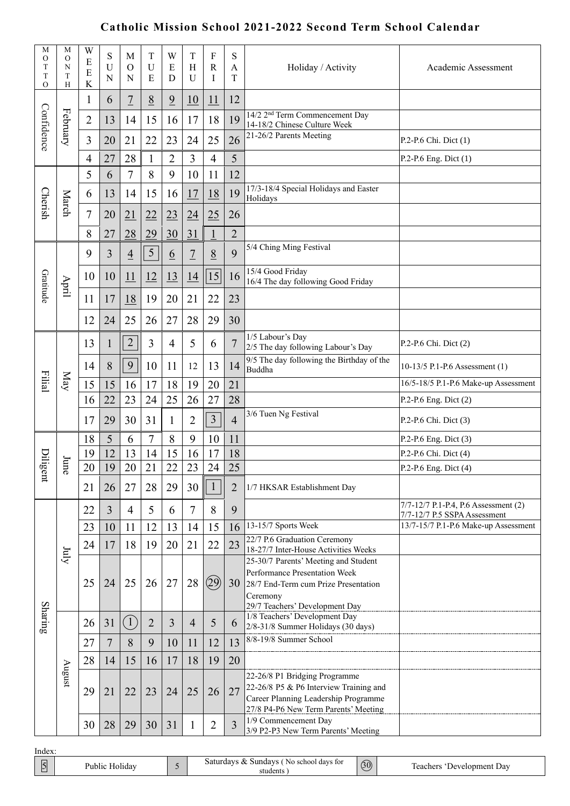## **Catholic Mission School 2021-2022 Second Term School Calendar**

| М<br>$\mathbf O$<br>T<br>T<br>O | М<br>O<br>N<br>T<br>H | W<br>E<br>E<br>$\bf K$ | S<br>$\mathbf U$<br>N | M<br>$\Omega$<br>N | T<br>U<br>E    | W<br>E<br>D     | T<br>H<br>U      | F<br>$\mathbf R$<br>I | S<br>А<br>T    | Holiday / Activity                                                                                                                                          | Academic Assessment                                                  |
|---------------------------------|-----------------------|------------------------|-----------------------|--------------------|----------------|-----------------|------------------|-----------------------|----------------|-------------------------------------------------------------------------------------------------------------------------------------------------------------|----------------------------------------------------------------------|
| Confidence                      | February              | $\mathbf{1}$           | 6                     | $\overline{1}$     | 8              | $\frac{9}{2}$   | 10               | 11                    | 12             |                                                                                                                                                             |                                                                      |
|                                 |                       | $\overline{2}$         | 13                    | 14                 | 15             | 16              | 17               | 18                    | 19             | $14/2$ 2 <sup>nd</sup> Term Commencement Day<br>14-18/2 Chinese Culture Week                                                                                |                                                                      |
|                                 |                       | 3                      | 20                    | 21                 | 22             | 23              | 24               | 25                    | 26             | 21-26/2 Parents Meeting                                                                                                                                     | P.2-P.6 Chi. Dict (1)                                                |
|                                 |                       | $\overline{4}$         | 27                    | 28                 | $\mathbf{1}$   | $\overline{2}$  | 3                | 4                     | 5              |                                                                                                                                                             | P.2-P.6 Eng. Dict (1)                                                |
|                                 | March                 | 5                      | 6                     | 7                  | 8              | 9               | 10               | 11                    | 12             |                                                                                                                                                             |                                                                      |
|                                 |                       | 6                      | 13                    | 14                 | 15             | 16              | 17               | <u>18</u>             | 19             | 17/3-18/4 Special Holidays and Easter<br>Holidays                                                                                                           |                                                                      |
| <b>Cherish</b>                  |                       | $\overline{7}$         | 20                    | $\overline{21}$    | 22             | 23              | $\underline{24}$ | 25                    | 26             |                                                                                                                                                             |                                                                      |
|                                 |                       | 8                      | 27                    | 28                 | 29             | 30              | 31               | $\overline{1}$        | $\overline{2}$ |                                                                                                                                                             |                                                                      |
|                                 |                       | 9                      | 3                     | $\overline{4}$     | $\sqrt{5}$     | $6\overline{6}$ | $\overline{7}$   | 8                     | 9              | 5/4 Ching Ming Festival                                                                                                                                     |                                                                      |
|                                 |                       | 10                     | 10                    | 11                 | 12             | <u>13</u>       | 14               | 15                    | 16             | 15/4 Good Friday<br>16/4 The day following Good Friday                                                                                                      |                                                                      |
| Gratitude                       | April                 | 11                     | 17                    | <u>18</u>          | 19             | 20              | 21               | 22                    | 23             |                                                                                                                                                             |                                                                      |
|                                 |                       | 12                     | 24                    | 25                 | 26             | 27              | 28               | 29                    | 30             |                                                                                                                                                             |                                                                      |
|                                 | <b>Nay</b>            | 13                     | $\mathbf{1}$          | $\sqrt{2}$         | 3              | $\overline{4}$  | 5                | 6                     | 7              | 1/5 Labour's Day<br>2/5 The day following Labour's Day                                                                                                      | P.2-P.6 Chi. Dict (2)                                                |
|                                 |                       | 14                     | 8                     | 9                  | 10             | 11              | 12               | 13                    | 14             | 9/5 The day following the Birthday of the<br>Buddha                                                                                                         | 10-13/5 P.1-P.6 Assessment (1)                                       |
| Filial                          |                       | 15                     | 15                    | 16                 | 17             | 18              | 19               | 20                    | 21             |                                                                                                                                                             | 16/5-18/5 P.1-P.6 Make-up Assessment                                 |
|                                 |                       | 16                     | 22                    | 23                 | 24             | 25              | 26               | 27                    | 28             |                                                                                                                                                             | P.2-P.6 Eng. Dict (2)                                                |
|                                 |                       | 17                     | 29                    | 30                 | 31             | $\mathbf{1}$    | $\overline{2}$   | 3                     | $\overline{4}$ | 3/6 Tuen Ng Festival                                                                                                                                        | P.2-P.6 Chi. Dict (3)                                                |
|                                 | June                  | 18                     | 5                     | 6                  | $\overline{7}$ | 8               | 9                | 10                    | 11             |                                                                                                                                                             | P.2-P.6 Eng. Dict (3)                                                |
| $\operatorname{Dilige}$         |                       | 19                     | 12                    | 13                 | 14             | 15              | 16               | 17                    | 18             |                                                                                                                                                             | P.2-P.6 Chi. Dict (4)                                                |
|                                 |                       | 20                     | 19                    | 20                 | 21             | 22              | 23               | 24                    | 25             |                                                                                                                                                             | P.2-P.6 Eng. Dict $(4)$                                              |
| Ħ                               |                       | 21                     | 26                    | 27                 | 28             | 29              | 30               |                       | $\overline{2}$ | 1/7 HKSAR Establishment Day                                                                                                                                 |                                                                      |
|                                 |                       | 22                     | 3                     | $\overline{4}$     | 5              | 6               | 7                | 8                     | 9              |                                                                                                                                                             | 7/7-12/7 P.1-P.4, P.6 Assessment (2)<br>7/7-12/7 P.5 SSPA Assessment |
|                                 | $\delta$              | 23                     | 10                    | 11                 | 12             | 13              | 14               | 15                    | 16             | 13-15/7 Sports Week                                                                                                                                         | 13/7-15/7 P.1-P.6 Make-up Assessment                                 |
|                                 |                       | 24                     | 17                    | 18                 | 19             | 20              | 21               | 22                    | 23             | 22/7 P.6 Graduation Ceremony<br>18-27/7 Inter-House Activities Weeks                                                                                        |                                                                      |
| Sharing                         |                       | 25                     | 24                    | 25                 | 26             | 27              | 28               | (29)                  | 30             | 25-30/7 Parents' Meeting and Student<br>Performance Presentation Week<br>28/7 End-Term cum Prize Presentation<br>Ceremony<br>29/7 Teachers' Development Day |                                                                      |
|                                 |                       | 26                     | 31                    | (1)                | $\overline{2}$ | 3               | $\overline{4}$   | 5                     | 6              | 1/8 Teachers' Development Day<br>2/8-31/8 Summer Holidays (30 days)                                                                                         |                                                                      |
|                                 |                       | 27                     | $\overline{7}$        | 8                  | 9              | 10              | 11               | 12                    | 13             | 8/8-19/8 Summer School                                                                                                                                      |                                                                      |
|                                 | $\mu$ ngust           | 28                     | 14                    | 15                 | 16             | 17              | 18               | 19                    | 20             |                                                                                                                                                             |                                                                      |
|                                 |                       | 29                     | 21                    | 22                 | 23             | 24              | 25               | 26                    | 27             | 22-26/8 P1 Bridging Programme<br>22-26/8 P5 & P6 Interview Training and<br>Career Planning Leadership Programme<br>27/8 P4-P6 New Term Parents' Meeting     |                                                                      |
|                                 |                       | 30                     | 28                    | 29                 | 30             | 31              | $\mathbf{1}$     | $\overline{2}$        | $\overline{3}$ | 1/9 Commencement Day<br>3/9 P2-P3 New Term Parents' Meeting                                                                                                 |                                                                      |

| Index  |                |                                                     |                     |                             |
|--------|----------------|-----------------------------------------------------|---------------------|-----------------------------|
| 5<br>_ | Public Holidav | Saturdays & Sundays (No school days for<br>students | (30)<br>$\check{ }$ | Teachers<br>Development Dav |